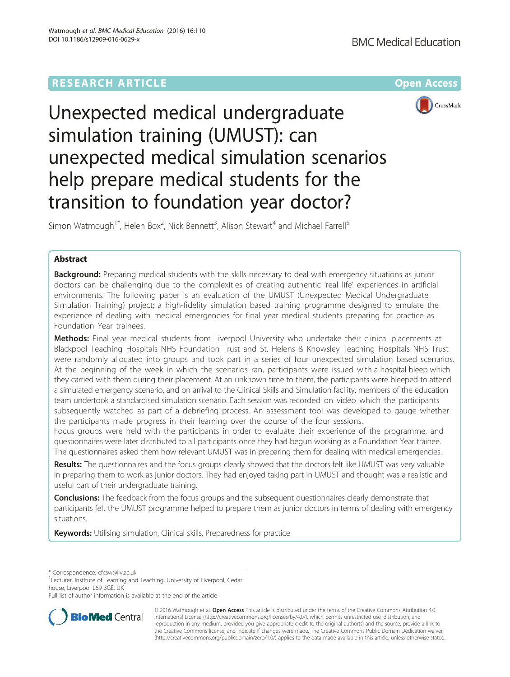# **RESEARCH ARTICLE Example 2014 12:30 The Company Access** (RESEARCH ARTICLE



# Unexpected medical undergraduate simulation training (UMUST): can unexpected medical simulation scenarios help prepare medical students for the transition to foundation year doctor?

Simon Watmough<sup>1\*</sup>, Helen Box<sup>2</sup>, Nick Bennett<sup>3</sup>, Alison Stewart<sup>4</sup> and Michael Farrell<sup>5</sup>

# Abstract

Background: Preparing medical students with the skills necessary to deal with emergency situations as junior doctors can be challenging due to the complexities of creating authentic 'real life' experiences in artificial environments. The following paper is an evaluation of the UMUST (Unexpected Medical Undergraduate Simulation Training) project; a high-fidelity simulation based training programme designed to emulate the experience of dealing with medical emergencies for final year medical students preparing for practice as Foundation Year trainees.

Methods: Final year medical students from Liverpool University who undertake their clinical placements at Blackpool Teaching Hospitals NHS Foundation Trust and St. Helens & Knowsley Teaching Hospitals NHS Trust were randomly allocated into groups and took part in a series of four unexpected simulation based scenarios. At the beginning of the week in which the scenarios ran, participants were issued with a hospital bleep which they carried with them during their placement. At an unknown time to them, the participants were bleeped to attend a simulated emergency scenario, and on arrival to the Clinical Skills and Simulation facility, members of the education team undertook a standardised simulation scenario. Each session was recorded on video which the participants subsequently watched as part of a debriefing process. An assessment tool was developed to gauge whether the participants made progress in their learning over the course of the four sessions.

Focus groups were held with the participants in order to evaluate their experience of the programme, and questionnaires were later distributed to all participants once they had begun working as a Foundation Year trainee. The questionnaires asked them how relevant UMUST was in preparing them for dealing with medical emergencies.

Results: The questionnaires and the focus groups clearly showed that the doctors felt like UMUST was very valuable in preparing them to work as junior doctors. They had enjoyed taking part in UMUST and thought was a realistic and useful part of their undergraduate training.

**Conclusions:** The feedback from the focus groups and the subsequent questionnaires clearly demonstrate that participants felt the UMUST programme helped to prepare them as junior doctors in terms of dealing with emergency situations.

**Keywords:** Utilising simulation, Clinical skills, Preparedness for practice

\* Correspondence: [efcsw@liv.ac.uk](mailto:efcsw@liv.ac.uk) <sup>1</sup>

<sup>1</sup> Lecturer, Institute of Learning and Teaching, University of Liverpool, Cedar house, Liverpool L69 3GE, UK

Full list of author information is available at the end of the article



© 2016 Watmough et al. Open Access This article is distributed under the terms of the Creative Commons Attribution 4.0 International License [\(http://creativecommons.org/licenses/by/4.0/](http://creativecommons.org/licenses/by/4.0/)), which permits unrestricted use, distribution, and reproduction in any medium, provided you give appropriate credit to the original author(s) and the source, provide a link to the Creative Commons license, and indicate if changes were made. The Creative Commons Public Domain Dedication waiver [\(http://creativecommons.org/publicdomain/zero/1.0/](http://creativecommons.org/publicdomain/zero/1.0/)) applies to the data made available in this article, unless otherwise stated.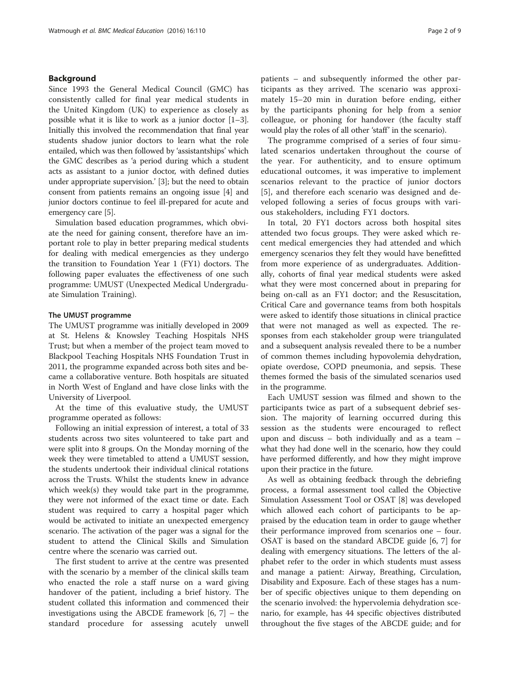## Background

Since 1993 the General Medical Council (GMC) has consistently called for final year medical students in the United Kingdom (UK) to experience as closely as possible what it is like to work as a junior doctor [[1](#page-8-0)–[3](#page-8-0)]. Initially this involved the recommendation that final year students shadow junior doctors to learn what the role entailed, which was then followed by 'assistantships' which the GMC describes as 'a period during which a student acts as assistant to a junior doctor, with defined duties under appropriate supervision.' [[3](#page-8-0)]; but the need to obtain consent from patients remains an ongoing issue [[4](#page-8-0)] and junior doctors continue to feel ill-prepared for acute and emergency care [[5\]](#page-8-0).

Simulation based education programmes, which obviate the need for gaining consent, therefore have an important role to play in better preparing medical students for dealing with medical emergencies as they undergo the transition to Foundation Year 1 (FY1) doctors. The following paper evaluates the effectiveness of one such programme: UMUST (Unexpected Medical Undergraduate Simulation Training).

#### The UMUST programme

The UMUST programme was initially developed in 2009 at St. Helens & Knowsley Teaching Hospitals NHS Trust; but when a member of the project team moved to Blackpool Teaching Hospitals NHS Foundation Trust in 2011, the programme expanded across both sites and became a collaborative venture. Both hospitals are situated in North West of England and have close links with the University of Liverpool.

At the time of this evaluative study, the UMUST programme operated as follows:

Following an initial expression of interest, a total of 33 students across two sites volunteered to take part and were split into 8 groups. On the Monday morning of the week they were timetabled to attend a UMUST session, the students undertook their individual clinical rotations across the Trusts. Whilst the students knew in advance which week(s) they would take part in the programme, they were not informed of the exact time or date. Each student was required to carry a hospital pager which would be activated to initiate an unexpected emergency scenario. The activation of the pager was a signal for the student to attend the Clinical Skills and Simulation centre where the scenario was carried out.

The first student to arrive at the centre was presented with the scenario by a member of the clinical skills team who enacted the role a staff nurse on a ward giving handover of the patient, including a brief history. The student collated this information and commenced their investigations using the ABCDE framework [\[6](#page-8-0), [7](#page-8-0)] – the standard procedure for assessing acutely unwell patients – and subsequently informed the other participants as they arrived. The scenario was approximately 15–20 min in duration before ending, either by the participants phoning for help from a senior colleague, or phoning for handover (the faculty staff would play the roles of all other 'staff' in the scenario).

The programme comprised of a series of four simulated scenarios undertaken throughout the course of the year. For authenticity, and to ensure optimum educational outcomes, it was imperative to implement scenarios relevant to the practice of junior doctors [[5\]](#page-8-0), and therefore each scenario was designed and developed following a series of focus groups with various stakeholders, including FY1 doctors.

In total, 20 FY1 doctors across both hospital sites attended two focus groups. They were asked which recent medical emergencies they had attended and which emergency scenarios they felt they would have benefitted from more experience of as undergraduates. Additionally, cohorts of final year medical students were asked what they were most concerned about in preparing for being on-call as an FY1 doctor; and the Resuscitation, Critical Care and governance teams from both hospitals were asked to identify those situations in clinical practice that were not managed as well as expected. The responses from each stakeholder group were triangulated and a subsequent analysis revealed there to be a number of common themes including hypovolemia dehydration, opiate overdose, COPD pneumonia, and sepsis. These themes formed the basis of the simulated scenarios used in the programme.

Each UMUST session was filmed and shown to the participants twice as part of a subsequent debrief session. The majority of learning occurred during this session as the students were encouraged to reflect upon and discuss – both individually and as a team – what they had done well in the scenario, how they could have performed differently, and how they might improve upon their practice in the future.

As well as obtaining feedback through the debriefing process, a formal assessment tool called the Objective Simulation Assessment Tool or OSAT [\[8](#page-8-0)] was developed which allowed each cohort of participants to be appraised by the education team in order to gauge whether their performance improved from scenarios one – four. OSAT is based on the standard ABCDE guide [[6, 7](#page-8-0)] for dealing with emergency situations. The letters of the alphabet refer to the order in which students must assess and manage a patient: Airway, Breathing, Circulation, Disability and Exposure. Each of these stages has a number of specific objectives unique to them depending on the scenario involved: the hypervolemia dehydration scenario, for example, has 44 specific objectives distributed throughout the five stages of the ABCDE guide; and for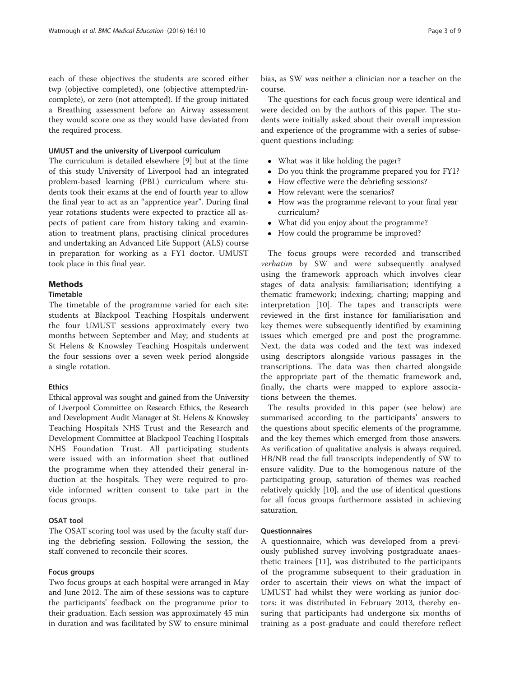each of these objectives the students are scored either twp (objective completed), one (objective attempted/incomplete), or zero (not attempted). If the group initiated a Breathing assessment before an Airway assessment they would score one as they would have deviated from the required process.

#### UMUST and the university of Liverpool curriculum

The curriculum is detailed elsewhere [[9](#page-8-0)] but at the time of this study University of Liverpool had an integrated problem-based learning (PBL) curriculum where students took their exams at the end of fourth year to allow the final year to act as an "apprentice year". During final year rotations students were expected to practice all aspects of patient care from history taking and examination to treatment plans, practising clinical procedures and undertaking an Advanced Life Support (ALS) course in preparation for working as a FY1 doctor. UMUST took place in this final year.

# Methods

## Timetable

The timetable of the programme varied for each site: students at Blackpool Teaching Hospitals underwent the four UMUST sessions approximately every two months between September and May; and students at St Helens & Knowsley Teaching Hospitals underwent the four sessions over a seven week period alongside a single rotation.

## Ethics

Ethical approval was sought and gained from the University of Liverpool Committee on Research Ethics, the Research and Development Audit Manager at St. Helens & Knowsley Teaching Hospitals NHS Trust and the Research and Development Committee at Blackpool Teaching Hospitals NHS Foundation Trust. All participating students were issued with an information sheet that outlined the programme when they attended their general induction at the hospitals. They were required to provide informed written consent to take part in the focus groups.

#### OSAT tool

The OSAT scoring tool was used by the faculty staff during the debriefing session. Following the session, the staff convened to reconcile their scores.

#### Focus groups

Two focus groups at each hospital were arranged in May and June 2012. The aim of these sessions was to capture the participants' feedback on the programme prior to their graduation. Each session was approximately 45 min in duration and was facilitated by SW to ensure minimal

bias, as SW was neither a clinician nor a teacher on the course.

The questions for each focus group were identical and were decided on by the authors of this paper. The students were initially asked about their overall impression and experience of the programme with a series of subsequent questions including:

- What was it like holding the pager?
- Do you think the programme prepared you for FY1?<br>• How effective were the debriefing sessions?
- How effective were the debriefing sessions?<br>• How relevant were the scenarios?
- How relevant were the scenarios?
- How was the programme relevant to your final year curriculum?
- What did you enjoy about the programme?
- How could the programme be improved?

The focus groups were recorded and transcribed verbatim by SW and were subsequently analysed using the framework approach which involves clear stages of data analysis: familiarisation; identifying a thematic framework; indexing; charting; mapping and interpretation [\[10](#page-8-0)]. The tapes and transcripts were reviewed in the first instance for familiarisation and key themes were subsequently identified by examining issues which emerged pre and post the programme. Next, the data was coded and the text was indexed using descriptors alongside various passages in the transcriptions. The data was then charted alongside the appropriate part of the thematic framework and, finally, the charts were mapped to explore associations between the themes.

The results provided in this paper (see below) are summarised according to the participants' answers to the questions about specific elements of the programme, and the key themes which emerged from those answers. As verification of qualitative analysis is always required, HB/NB read the full transcripts independently of SW to ensure validity. Due to the homogenous nature of the participating group, saturation of themes was reached relatively quickly [[10](#page-8-0)], and the use of identical questions for all focus groups furthermore assisted in achieving saturation.

#### **Questionnaires**

A questionnaire, which was developed from a previously published survey involving postgraduate anaesthetic trainees [[11\]](#page-8-0), was distributed to the participants of the programme subsequent to their graduation in order to ascertain their views on what the impact of UMUST had whilst they were working as junior doctors: it was distributed in February 2013, thereby ensuring that participants had undergone six months of training as a post-graduate and could therefore reflect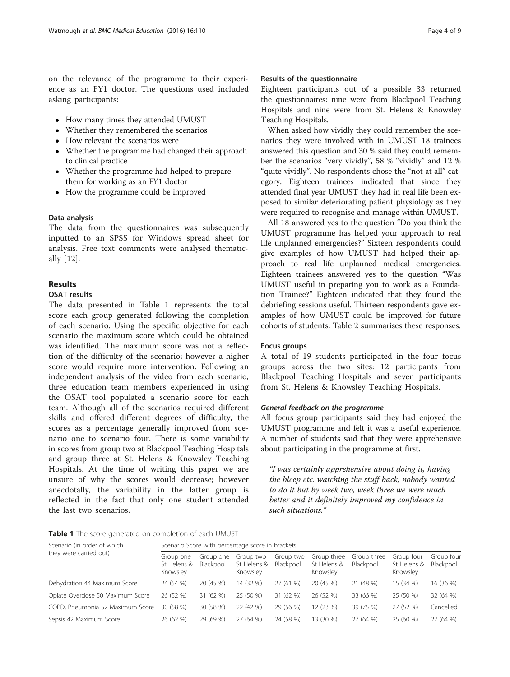on the relevance of the programme to their experience as an FY1 doctor. The questions used included asking participants:

- How many times they attended UMUST
- Whether they remembered the scenarios
- How relevant the scenarios were
- Whether the programme had changed their approach to clinical practice
- Whether the programme had helped to prepare them for working as an FY1 doctor
- How the programme could be improved

#### Data analysis

The data from the questionnaires was subsequently inputted to an SPSS for Windows spread sheet for analysis. Free text comments were analysed thematically [\[12](#page-8-0)].

## Results

# OSAT results

The data presented in Table 1 represents the total score each group generated following the completion of each scenario. Using the specific objective for each scenario the maximum score which could be obtained was identified. The maximum score was not a reflection of the difficulty of the scenario; however a higher score would require more intervention. Following an independent analysis of the video from each scenario, three education team members experienced in using the OSAT tool populated a scenario score for each team. Although all of the scenarios required different skills and offered different degrees of difficulty, the scores as a percentage generally improved from scenario one to scenario four. There is some variability in scores from group two at Blackpool Teaching Hospitals and group three at St. Helens & Knowsley Teaching Hospitals. At the time of writing this paper we are unsure of why the scores would decrease; however anecdotally, the variability in the latter group is reflected in the fact that only one student attended the last two scenarios.

### Results of the questionnaire

Eighteen participants out of a possible 33 returned the questionnaires: nine were from Blackpool Teaching Hospitals and nine were from St. Helens & Knowsley Teaching Hospitals.

When asked how vividly they could remember the scenarios they were involved with in UMUST 18 trainees answered this question and 30 % said they could remember the scenarios "very vividly", 58 % "vividly" and 12 % "quite vividly". No respondents chose the "not at all" category. Eighteen trainees indicated that since they attended final year UMUST they had in real life been exposed to similar deteriorating patient physiology as they were required to recognise and manage within UMUST.

All 18 answered yes to the question "Do you think the UMUST programme has helped your approach to real life unplanned emergencies?" Sixteen respondents could give examples of how UMUST had helped their approach to real life unplanned medical emergencies. Eighteen trainees answered yes to the question "Was UMUST useful in preparing you to work as a Foundation Trainee?" Eighteen indicated that they found the debriefing sessions useful. Thirteen respondents gave examples of how UMUST could be improved for future cohorts of students. Table [2](#page-4-0) summarises these responses.

#### Focus groups

A total of 19 students participated in the four focus groups across the two sites: 12 participants from Blackpool Teaching Hospitals and seven participants from St. Helens & Knowsley Teaching Hospitals.

#### General feedback on the programme

All focus group participants said they had enjoyed the UMUST programme and felt it was a useful experience. A number of students said that they were apprehensive about participating in the programme at first.

"I was certainly apprehensive about doing it, having the bleep etc. watching the stuff back, nobody wanted to do it but by week two, week three we were much better and it definitely improved my confidence in such situations."

Table 1 The score generated on completion of each UMUST

| Scenario (in order of which<br>they were carried out) | Scenario Score with percentage score in brackets |                        |                                      |                        |                                        |                          |                                       |                         |  |
|-------------------------------------------------------|--------------------------------------------------|------------------------|--------------------------------------|------------------------|----------------------------------------|--------------------------|---------------------------------------|-------------------------|--|
|                                                       | Group one<br>St Helens &<br>Knowsley             | Group one<br>Blackpool | Group two<br>St Helens &<br>Knowsley | Group two<br>Blackpool | Group three<br>St Helens &<br>Knowsley | Group three<br>Blackpool | Group four<br>St Helens &<br>Knowsley | Group four<br>Blackpool |  |
| Dehydration 44 Maximum Score                          | 24 (54 %)                                        | 20 (45 %)              | 14 (32 %)                            | 27 (61 %)              | 20 (45 %)                              | 21 (48 %)                | 15 (34 %)                             | 16 (36 %)               |  |
| Opiate Overdose 50 Maximum Score                      | 26 (52 %)                                        | 31 (62 %)              | 25 (50 %)                            | 31 (62 %)              | 26 (52 %)                              | 33 (66 %)                | 25 (50 %)                             | 32 (64 %)               |  |
| COPD. Pneumonia 52 Maximum Score                      | 30 (58 %)                                        | 30 (58 %)              | 22 (42 %)                            | 29 (56 %)              | 12(23%)                                | 39 (75 %)                | 27 (52 %)                             | Cancelled               |  |
| Sepsis 42 Maximum Score                               | 26 (62 %)                                        | 29 (69 %)              | 27 (64 %)                            | 24 (58 %)              | 13 (30 %)                              | 27 (64 %)                | 25 (60 %)                             | 27 (64 %)               |  |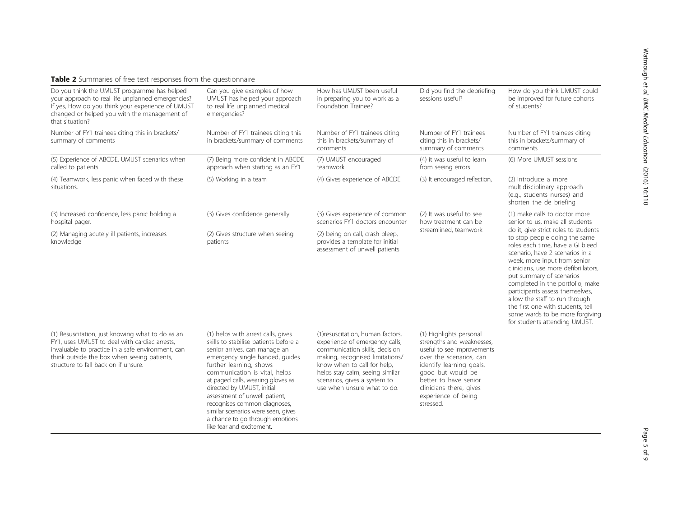# <span id="page-4-0"></span>Table 2 Summaries of free text responses from the questionnaire

| Do you think the UMUST programme has helped<br>your approach to real life unplanned emergencies?<br>If yes, How do you think your experience of UMUST<br>changed or helped you with the management of<br>that situation?                      | Can you give examples of how<br>UMUST has helped your approach<br>to real life unplanned medical<br>emergencies?                                                                                                                                                                                                                                                                                                                                      | How has UMUST been useful<br>in preparing you to work as a<br>Foundation Trainee?                                                                                                                                                                                         | Did you find the debriefing<br>sessions useful?                                                                                                                                                                                                        | How do you think UMUST could<br>be improved for future cohorts<br>of students?                                                                                                                                                                                                                                                                                                                                                                                     |  |
|-----------------------------------------------------------------------------------------------------------------------------------------------------------------------------------------------------------------------------------------------|-------------------------------------------------------------------------------------------------------------------------------------------------------------------------------------------------------------------------------------------------------------------------------------------------------------------------------------------------------------------------------------------------------------------------------------------------------|---------------------------------------------------------------------------------------------------------------------------------------------------------------------------------------------------------------------------------------------------------------------------|--------------------------------------------------------------------------------------------------------------------------------------------------------------------------------------------------------------------------------------------------------|--------------------------------------------------------------------------------------------------------------------------------------------------------------------------------------------------------------------------------------------------------------------------------------------------------------------------------------------------------------------------------------------------------------------------------------------------------------------|--|
| Number of FY1 trainees citing this in brackets/<br>summary of comments                                                                                                                                                                        | Number of FY1 trainees citing this<br>in brackets/summary of comments                                                                                                                                                                                                                                                                                                                                                                                 | Number of FY1 trainees citing<br>this in brackets/summary of<br>comments                                                                                                                                                                                                  | Number of FY1 trainees<br>citing this in brackets/<br>summary of comments                                                                                                                                                                              | Number of FY1 trainees citing<br>this in brackets/summary of<br>comments                                                                                                                                                                                                                                                                                                                                                                                           |  |
| (5) Experience of ABCDE, UMUST scenarios when<br>called to patients.                                                                                                                                                                          | (7) Being more confident in ABCDE<br>approach when starting as an FY1                                                                                                                                                                                                                                                                                                                                                                                 | (7) UMUST encouraged<br>teamwork                                                                                                                                                                                                                                          | (4) it was useful to learn<br>from seeing errors                                                                                                                                                                                                       | (6) More UMUST sessions                                                                                                                                                                                                                                                                                                                                                                                                                                            |  |
| (4) Teamwork, less panic when faced with these<br>situations.                                                                                                                                                                                 | (5) Working in a team                                                                                                                                                                                                                                                                                                                                                                                                                                 | (4) Gives experience of ABCDE                                                                                                                                                                                                                                             | (3) It encouraged reflection,                                                                                                                                                                                                                          | (2) Introduce a more<br>multidisciplinary approach<br>(e.g., students nurses) and<br>shorten the de briefing                                                                                                                                                                                                                                                                                                                                                       |  |
| (3) Increased confidence, less panic holding a<br>hospital pager.                                                                                                                                                                             | (3) Gives confidence generally                                                                                                                                                                                                                                                                                                                                                                                                                        | (3) Gives experience of common<br>scenarios FY1 doctors encounter                                                                                                                                                                                                         | (2) It was useful to see<br>how treatment can be                                                                                                                                                                                                       | (1) make calls to doctor more<br>senior to us, make all students                                                                                                                                                                                                                                                                                                                                                                                                   |  |
| (2) Managing acutely ill patients, increases<br>knowledge                                                                                                                                                                                     | (2) Gives structure when seeing<br>patients                                                                                                                                                                                                                                                                                                                                                                                                           | (2) being on call, crash bleep,<br>provides a template for initial<br>assessment of unwell patients                                                                                                                                                                       | streamlined, teamwork                                                                                                                                                                                                                                  | do it, give strict roles to students<br>to stop people doing the same<br>roles each time, have a GI bleed<br>scenario, have 2 scenarios in a<br>week, more input from senior<br>clinicians, use more defibrillators,<br>put summary of scenarios<br>completed in the portfolio, make<br>participants assess themselves,<br>allow the staff to run through<br>the first one with students, tell<br>some wards to be more forgiving<br>for students attending UMUST. |  |
| (1) Resuscitation, just knowing what to do as an<br>FY1, uses UMUST to deal with cardiac arrests,<br>invaluable to practice in a safe environment, can<br>think outside the box when seeing patients,<br>structure to fall back on if unsure. | (1) helps with arrest calls, gives<br>skills to stabilise patients before a<br>senior arrives, can manage an<br>emergency single handed, guides<br>further learning, shows<br>communication is vital, helps<br>at paged calls, wearing gloves as<br>directed by UMUST, initial<br>assessment of unwell patient,<br>recognises common diagnoses,<br>similar scenarios were seen, gives<br>a chance to go through emotions<br>like fear and excitement. | (1) resuscitation, human factors,<br>experience of emergency calls,<br>communication skills, decision<br>making, recognised limitations/<br>know when to call for help,<br>helps stay calm, seeing similar<br>scenarios, gives a system to<br>use when unsure what to do. | (1) Highlights personal<br>strengths and weaknesses,<br>useful to see improvements<br>over the scenarios, can<br>identify learning goals,<br>good but would be<br>better to have senior<br>clinicians there, gives<br>experience of being<br>stressed. |                                                                                                                                                                                                                                                                                                                                                                                                                                                                    |  |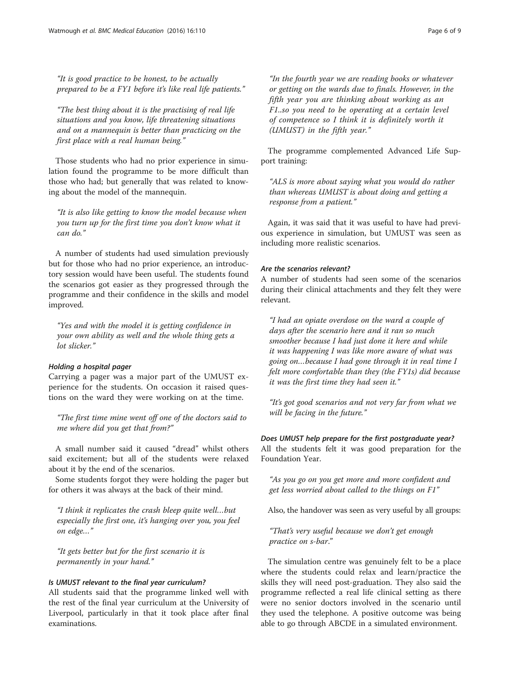"It is good practice to be honest, to be actually prepared to be a FY1 before it's like real life patients."

"The best thing about it is the practising of real life situations and you know, life threatening situations and on a mannequin is better than practicing on the first place with a real human being."

Those students who had no prior experience in simulation found the programme to be more difficult than those who had; but generally that was related to knowing about the model of the mannequin.

"It is also like getting to know the model because when you turn up for the first time you don't know what it can do."

A number of students had used simulation previously but for those who had no prior experience, an introductory session would have been useful. The students found the scenarios got easier as they progressed through the programme and their confidence in the skills and model improved.

"Yes and with the model it is getting confidence in your own ability as well and the whole thing gets a lot slicker."

## Holding a hospital pager

Carrying a pager was a major part of the UMUST experience for the students. On occasion it raised questions on the ward they were working on at the time.

"The first time mine went off one of the doctors said to me where did you get that from?"

A small number said it caused "dread" whilst others said excitement; but all of the students were relaxed about it by the end of the scenarios.

Some students forgot they were holding the pager but for others it was always at the back of their mind.

"I think it replicates the crash bleep quite well…but especially the first one, it's hanging over you, you feel on edge…"

"It gets better but for the first scenario it is permanently in your hand."

## Is UMUST relevant to the final year curriculum?

All students said that the programme linked well with the rest of the final year curriculum at the University of Liverpool, particularly in that it took place after final examinations.

"In the fourth year we are reading books or whatever or getting on the wards due to finals. However, in the fifth year you are thinking about working as an F1..so you need to be operating at a certain level of competence so I think it is definitely worth it (UMUST) in the fifth year."

The programme complemented Advanced Life Support training:

"ALS is more about saying what you would do rather than whereas UMUST is about doing and getting a response from a patient."

Again, it was said that it was useful to have had previous experience in simulation, but UMUST was seen as including more realistic scenarios.

#### Are the scenarios relevant?

A number of students had seen some of the scenarios during their clinical attachments and they felt they were relevant.

"I had an opiate overdose on the ward a couple of days after the scenario here and it ran so much smoother because I had just done it here and while it was happening I was like more aware of what was going on…because I had gone through it in real time I felt more comfortable than they (the FY1s) did because it was the first time they had seen it."

"It's got good scenarios and not very far from what we will be facing in the future."

Does UMUST help prepare for the first postgraduate year? All the students felt it was good preparation for the Foundation Year.

"As you go on you get more and more confident and get less worried about called to the things on F1"

Also, the handover was seen as very useful by all groups:

"That's very useful because we don't get enough practice on s-bar."

The simulation centre was genuinely felt to be a place where the students could relax and learn/practice the skills they will need post-graduation. They also said the programme reflected a real life clinical setting as there were no senior doctors involved in the scenario until they used the telephone. A positive outcome was being able to go through ABCDE in a simulated environment.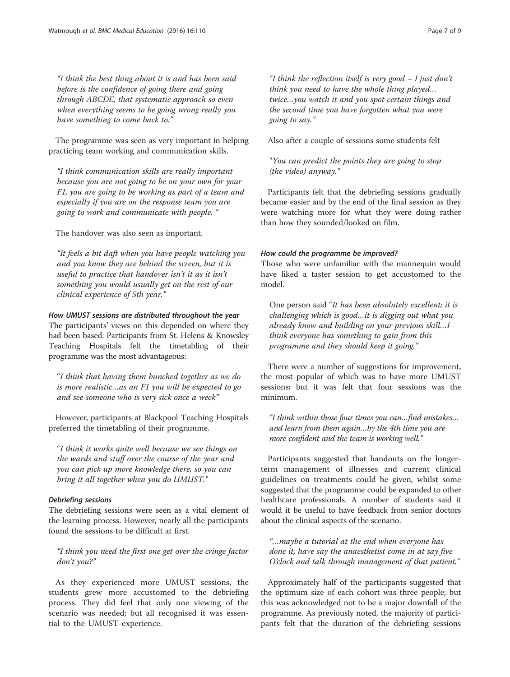"I think the best thing about it is and has been said before is the confidence of going there and going through ABCDE, that systematic approach so even when everything seems to be going wrong really you have something to come back to."

The programme was seen as very important in helping practicing team working and communication skills.

"I think communication skills are really important because you are not going to be on your own for your F1, you are going to be working as part of a team and especially if you are on the response team you are going to work and communicate with people. "

The handover was also seen as important.

"It feels a bit daft when you have people watching you and you know they are behind the screen, but it is useful to practice that handover isn't it as it isn't something you would usually get on the rest of our clinical experience of 5th year."

#### How UMUST sessions are distributed throughout the year

The participants' views on this depended on where they had been based. Participants from St. Helens & Knowsley Teaching Hospitals felt the timetabling of their programme was the most advantageous:

"I think that having them bunched together as we do is more realistic…as an F1 you will be expected to go and see someone who is very sick once a week"

However, participants at Blackpool Teaching Hospitals preferred the timetabling of their programme.

"I think it works quite well because we see things on the wards and stuff over the course of the year and you can pick up more knowledge there, so you can bring it all together when you do UMUST."

#### Debriefing sessions

The debriefing sessions were seen as a vital element of the learning process. However, nearly all the participants found the sessions to be difficult at first.

"I think you need the first one get over the cringe factor don't you?"

As they experienced more UMUST sessions, the students grew more accustomed to the debriefing process. They did feel that only one viewing of the scenario was needed; but all recognised it was essential to the UMUST experience.

"I think the reflection itself is very good  $-I$  just don't think you need to have the whole thing played… twice…you watch it and you spot certain things and the second time you have forgotten what you were going to say."

Also after a couple of sessions some students felt

"You can predict the points they are going to stop (the video) anyway."

Participants felt that the debriefing sessions gradually became easier and by the end of the final session as they were watching more for what they were doing rather than how they sounded/looked on film.

#### How could the programme be improved?

Those who were unfamiliar with the mannequin would have liked a taster session to get accustomed to the model.

One person said "It has been absolutely excellent; it is challenging which is good…it is digging out what you already know and building on your previous skill…I think everyone has something to gain from this programme and they should keep it going."

There were a number of suggestions for improvement, the most popular of which was to have more UMUST sessions; but it was felt that four sessions was the minimum.

"I think within those four times you can…find mistakes… and learn from them again…by the 4th time you are more confident and the team is working well."

Participants suggested that handouts on the longerterm management of illnesses and current clinical guidelines on treatments could be given, whilst some suggested that the programme could be expanded to other healthcare professionals. A number of students said it would it be useful to have feedback from senior doctors about the clinical aspects of the scenario.

"…maybe a tutorial at the end when everyone has done it, have say the anaesthetist come in at say five O'clock and talk through management of that patient."

Approximately half of the participants suggested that the optimum size of each cohort was three people; but this was acknowledged not to be a major downfall of the programme. As previously noted, the majority of participants felt that the duration of the debriefing sessions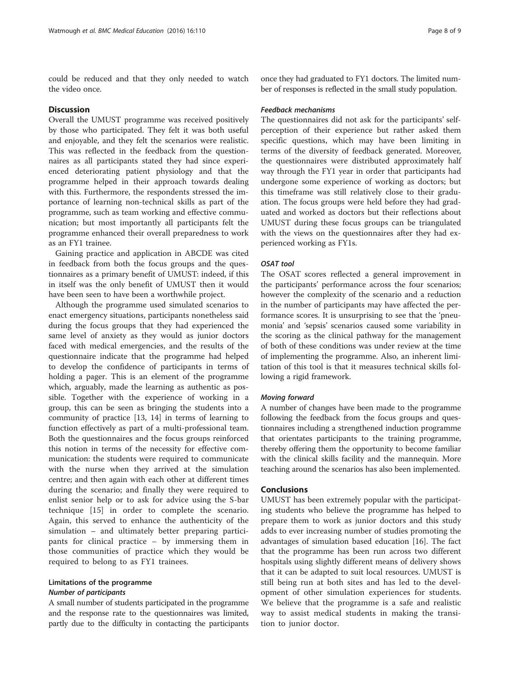could be reduced and that they only needed to watch the video once.

### **Discussion**

Overall the UMUST programme was received positively by those who participated. They felt it was both useful and enjoyable, and they felt the scenarios were realistic. This was reflected in the feedback from the questionnaires as all participants stated they had since experienced deteriorating patient physiology and that the programme helped in their approach towards dealing with this. Furthermore, the respondents stressed the importance of learning non-technical skills as part of the programme, such as team working and effective communication; but most importantly all participants felt the programme enhanced their overall preparedness to work as an FY1 trainee.

Gaining practice and application in ABCDE was cited in feedback from both the focus groups and the questionnaires as a primary benefit of UMUST: indeed, if this in itself was the only benefit of UMUST then it would have been seen to have been a worthwhile project.

Although the programme used simulated scenarios to enact emergency situations, participants nonetheless said during the focus groups that they had experienced the same level of anxiety as they would as junior doctors faced with medical emergencies, and the results of the questionnaire indicate that the programme had helped to develop the confidence of participants in terms of holding a pager. This is an element of the programme which, arguably, made the learning as authentic as possible. Together with the experience of working in a group, this can be seen as bringing the students into a community of practice [[13](#page-8-0), [14\]](#page-8-0) in terms of learning to function effectively as part of a multi-professional team. Both the questionnaires and the focus groups reinforced this notion in terms of the necessity for effective communication: the students were required to communicate with the nurse when they arrived at the simulation centre; and then again with each other at different times during the scenario; and finally they were required to enlist senior help or to ask for advice using the S-bar technique [[15](#page-8-0)] in order to complete the scenario. Again, this served to enhance the authenticity of the simulation – and ultimately better preparing participants for clinical practice – by immersing them in those communities of practice which they would be required to belong to as FY1 trainees.

# Limitations of the programme

#### Number of participants

A small number of students participated in the programme and the response rate to the questionnaires was limited, partly due to the difficulty in contacting the participants

once they had graduated to FY1 doctors. The limited number of responses is reflected in the small study population.

#### Feedback mechanisms

The questionnaires did not ask for the participants' selfperception of their experience but rather asked them specific questions, which may have been limiting in terms of the diversity of feedback generated. Moreover, the questionnaires were distributed approximately half way through the FY1 year in order that participants had undergone some experience of working as doctors; but this timeframe was still relatively close to their graduation. The focus groups were held before they had graduated and worked as doctors but their reflections about UMUST during these focus groups can be triangulated with the views on the questionnaires after they had experienced working as FY1s.

#### OSAT tool

The OSAT scores reflected a general improvement in the participants' performance across the four scenarios; however the complexity of the scenario and a reduction in the number of participants may have affected the performance scores. It is unsurprising to see that the 'pneumonia' and 'sepsis' scenarios caused some variability in the scoring as the clinical pathway for the management of both of these conditions was under review at the time of implementing the programme. Also, an inherent limitation of this tool is that it measures technical skills following a rigid framework.

#### Moving forward

A number of changes have been made to the programme following the feedback from the focus groups and questionnaires including a strengthened induction programme that orientates participants to the training programme, thereby offering them the opportunity to become familiar with the clinical skills facility and the mannequin. More teaching around the scenarios has also been implemented.

#### Conclusions

UMUST has been extremely popular with the participating students who believe the programme has helped to prepare them to work as junior doctors and this study adds to ever increasing number of studies promoting the advantages of simulation based education [[16\]](#page-8-0). The fact that the programme has been run across two different hospitals using slightly different means of delivery shows that it can be adapted to suit local resources. UMUST is still being run at both sites and has led to the development of other simulation experiences for students. We believe that the programme is a safe and realistic way to assist medical students in making the transition to junior doctor.